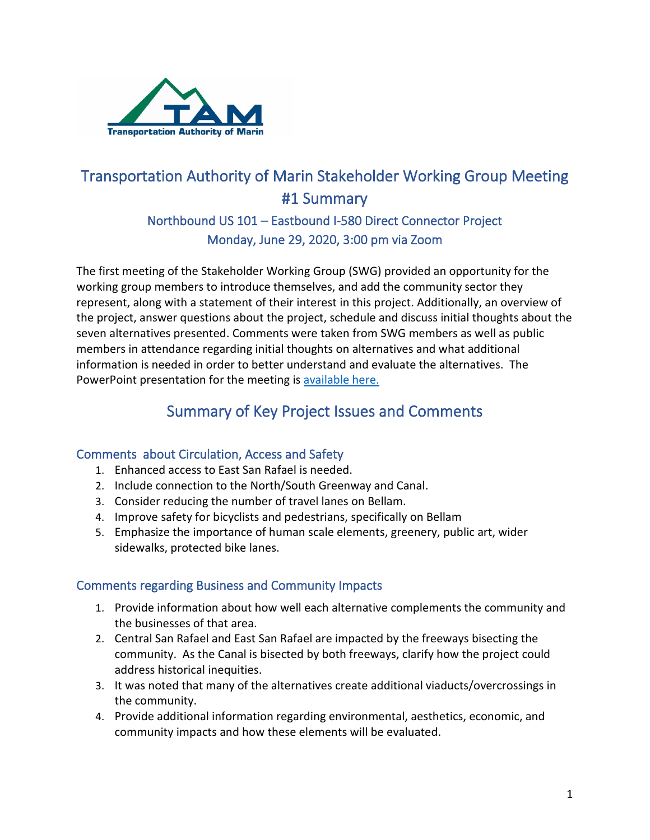

# Transportation Authority of Marin Stakeholder Working Group Meeting #1 Summary

## Northbound US 101 – Eastbound I-580 Direct Connector Project Monday, June 29, 2020, 3:00 pm via Zoom

The first meeting of the Stakeholder Working Group (SWG) provided an opportunity for the working group members to introduce themselves, and add the community sector they represent, along with a statement of their interest in this project. Additionally, an overview of the project, answer questions about the project, schedule and discuss initial thoughts about the seven alternatives presented. Comments were taken from SWG members as well as public members in attendance regarding initial thoughts on alternatives and what additional information is needed in order to better understand and evaluate the alternatives. The PowerPoint presentation for the meeting is [available here.](https://www.tam.ca.gov/wp-content/uploads/2020/07/StakeholderWorkingGroup-Marin101-580-final-6.29.2020-ForWeb.pdf)

# Summary of Key Project Issues and Comments

#### Comments about Circulation, Access and Safety

- 1. Enhanced access to East San Rafael is needed.
- 2. Include connection to the North/South Greenway and Canal.
- 3. Consider reducing the number of travel lanes on Bellam.
- 4. Improve safety for bicyclists and pedestrians, specifically on Bellam.
- 5. Emphasize the importance of human scale elements, greenery, public art, wider sidewalks, protected bike lanes.

#### Comments regarding Business and Community Impacts

- 1. Provide information about how well each alternative complements the community and the businesses of that area.
- 2. Central San Rafael and East San Rafael are impacted by the freeways bisecting the community. As the Canal is bisected by both freeways, clarify how the project could address historical inequities.
- 3. It was noted that many of the alternatives create additional viaducts/overcrossings in the community.
- 4. Provide additional information regarding environmental, aesthetics, economic, and community impacts and how these elements will be evaluated.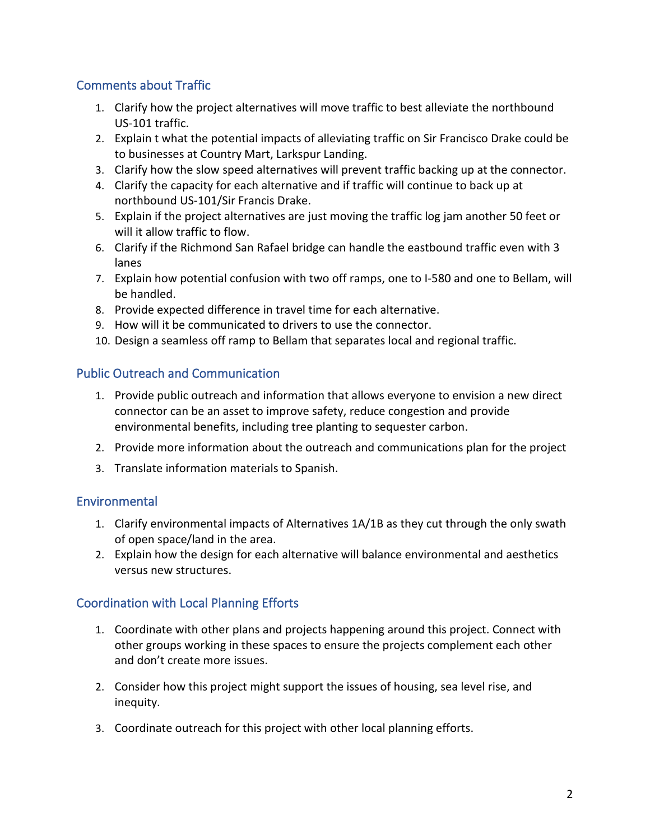#### Comments about Traffic

- 1. Clarify how the project alternatives will move traffic to best alleviate the northbound US-101 traffic.
- 2. Explain t what the potential impacts of alleviating traffic on Sir Francisco Drake could be to businesses at Country Mart, Larkspur Landing.
- 3. Clarify how the slow speed alternatives will prevent traffic backing up at the connector.
- 4. Clarify the capacity for each alternative and if traffic will continue to back up at northbound US-101/Sir Francis Drake.
- 5. Explain if the project alternatives are just moving the traffic log jam another 50 feet or will it allow traffic to flow.
- 6. Clarify if the Richmond San Rafael bridge can handle the eastbound traffic even with 3 lanes
- 7. Explain how potential confusion with two off ramps, one to I-580 and one to Bellam, will be handled.
- 8. Provide expected difference in travel time for each alternative.
- 9. How will it be communicated to drivers to use the connector.
- 10. Design a seamless off ramp to Bellam that separates local and regional traffic.

#### Public Outreach and Communication

- 1. Provide public outreach and information that allows everyone to envision a new direct connector can be an asset to improve safety, reduce congestion and provide environmental benefits, including tree planting to sequester carbon.
- 2. Provide more information about the outreach and communications plan for the project
- 3. Translate information materials to Spanish.

## Environmental

- 1. Clarify environmental impacts of Alternatives 1A/1B as they cut through the only swath of open space/land in the area.
- 2. Explain how the design for each alternative will balance environmental and aesthetics versus new structures.

## Coordination with Local Planning Efforts

- 1. Coordinate with other plans and projects happening around this project. Connect with other groups working in these spaces to ensure the projects complement each other and don't create more issues.
- 2. Consider how this project might support the issues of housing, sea level rise, and inequity.
- 3. Coordinate outreach for this project with other local planning efforts.